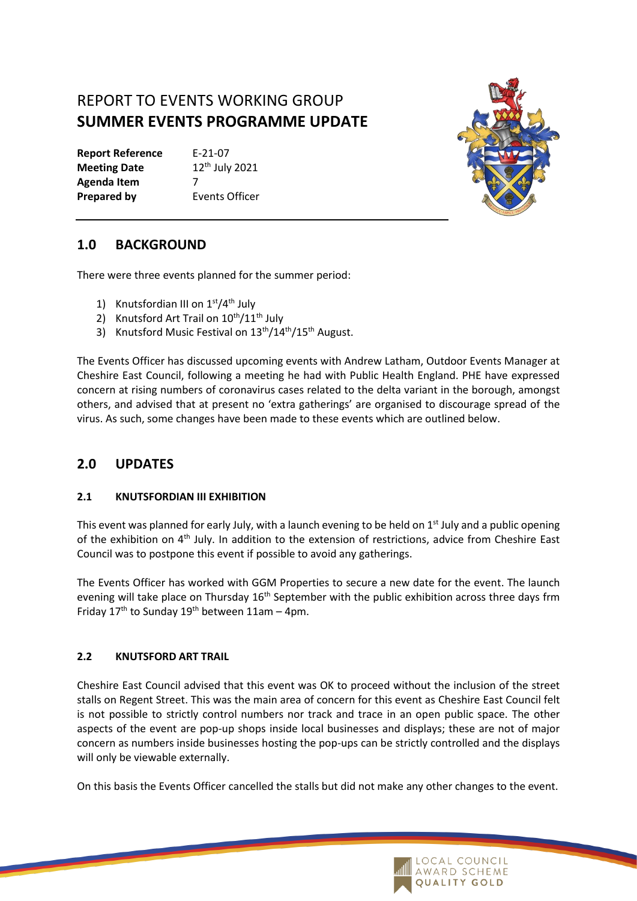# REPORT TO EVENTS WORKING GROUP **SUMMER EVENTS PROGRAMME UPDATE**

**Report Reference** E-21-07 **Meeting Date** 12<sup>th</sup> July 2021 **Agenda Item** 7 **Prepared by Events Officer** 



## **1.0 BACKGROUND**

There were three events planned for the summer period:

- 1) Knutsfordian III on  $1<sup>st</sup>/4<sup>th</sup>$  July
- 2) Knutsford Art Trail on  $10^{th}/11^{th}$  July
- 3) Knutsford Music Festival on 13<sup>th</sup>/14<sup>th</sup>/15<sup>th</sup> August.

The Events Officer has discussed upcoming events with Andrew Latham, Outdoor Events Manager at Cheshire East Council, following a meeting he had with Public Health England. PHE have expressed concern at rising numbers of coronavirus cases related to the delta variant in the borough, amongst others, and advised that at present no 'extra gatherings' are organised to discourage spread of the virus. As such, some changes have been made to these events which are outlined below.

## **2.0 UPDATES**

### **2.1 KNUTSFORDIAN III EXHIBITION**

This event was planned for early July, with a launch evening to be held on  $1<sup>st</sup>$  July and a public opening of the exhibition on 4th July. In addition to the extension of restrictions, advice from Cheshire East Council was to postpone this event if possible to avoid any gatherings.

The Events Officer has worked with GGM Properties to secure a new date for the event. The launch evening will take place on Thursday  $16<sup>th</sup>$  September with the public exhibition across three days frm Friday  $17<sup>th</sup>$  to Sunday  $19<sup>th</sup>$  between  $11$ am – 4pm.

### **2.2 KNUTSFORD ART TRAIL**

Cheshire East Council advised that this event was OK to proceed without the inclusion of the street stalls on Regent Street. This was the main area of concern for this event as Cheshire East Council felt is not possible to strictly control numbers nor track and trace in an open public space. The other aspects of the event are pop-up shops inside local businesses and displays; these are not of major concern as numbers inside businesses hosting the pop-ups can be strictly controlled and the displays will only be viewable externally.

On this basis the Events Officer cancelled the stalls but did not make any other changes to the event.